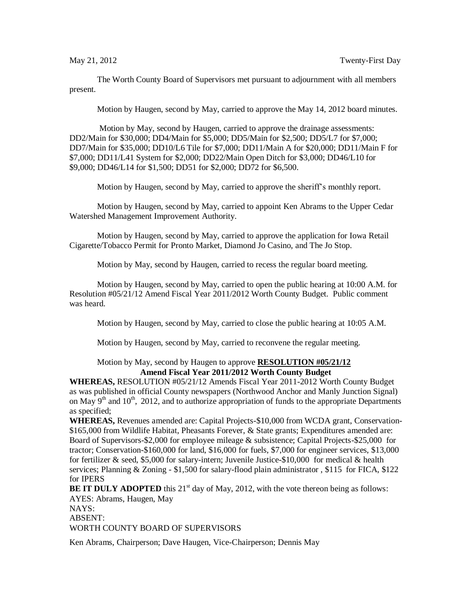The Worth County Board of Supervisors met pursuant to adjournment with all members present.

Motion by Haugen, second by May, carried to approve the May 14, 2012 board minutes.

Motion by May, second by Haugen, carried to approve the drainage assessments: DD2/Main for \$30,000; DD4/Main for \$5,000; DD5/Main for \$2,500; DD5/L7 for \$7,000; DD7/Main for \$35,000; DD10/L6 Tile for \$7,000; DD11/Main A for \$20,000; DD11/Main F for \$7,000; DD11/L41 System for \$2,000; DD22/Main Open Ditch for \$3,000; DD46/L10 for \$9,000; DD46/L14 for \$1,500; DD51 for \$2,000; DD72 for \$6,500.

Motion by Haugen, second by May, carried to approve the sheriff's monthly report.

Motion by Haugen, second by May, carried to appoint Ken Abrams to the Upper Cedar Watershed Management Improvement Authority.

Motion by Haugen, second by May, carried to approve the application for Iowa Retail Cigarette/Tobacco Permit for Pronto Market, Diamond Jo Casino, and The Jo Stop.

Motion by May, second by Haugen, carried to recess the regular board meeting.

Motion by Haugen, second by May, carried to open the public hearing at 10:00 A.M. for Resolution #05/21/12 Amend Fiscal Year 2011/2012 Worth County Budget. Public comment was heard.

Motion by Haugen, second by May, carried to close the public hearing at 10:05 A.M.

Motion by Haugen, second by May, carried to reconvene the regular meeting.

## Motion by May, second by Haugen to approve **RESOLUTION #05/21/12 Amend Fiscal Year 2011/2012 Worth County Budget**

**WHEREAS,** RESOLUTION #05/21/12 Amends Fiscal Year 2011-2012 Worth County Budget as was published in official County newspapers (Northwood Anchor and Manly Junction Signal) on May  $9<sup>th</sup>$  and  $10<sup>th</sup>$ , 2012, and to authorize appropriation of funds to the appropriate Departments as specified;

**WHEREAS,** Revenues amended are: Capital Projects-\$10,000 from WCDA grant, Conservation- \$165,000 from Wildlife Habitat, Pheasants Forever, & State grants; Expenditures amended are: Board of Supervisors-\$2,000 for employee mileage & subsistence; Capital Projects-\$25,000 for tractor; Conservation-\$160,000 for land, \$16,000 for fuels, \$7,000 for engineer services, \$13,000 for fertilizer & seed, \$5,000 for salary-intern; Juvenile Justice-\$10,000 for medical & health services; Planning & Zoning - \$1,500 for salary-flood plain administrator , \$115 for FICA, \$122 for IPERS

**BE IT DULY ADOPTED** this  $21<sup>st</sup>$  day of May, 2012, with the vote thereon being as follows: AYES: Abrams, Haugen, May

NAYS:

ABSENT:

WORTH COUNTY BOARD OF SUPERVISORS

Ken Abrams, Chairperson; Dave Haugen, Vice-Chairperson; Dennis May